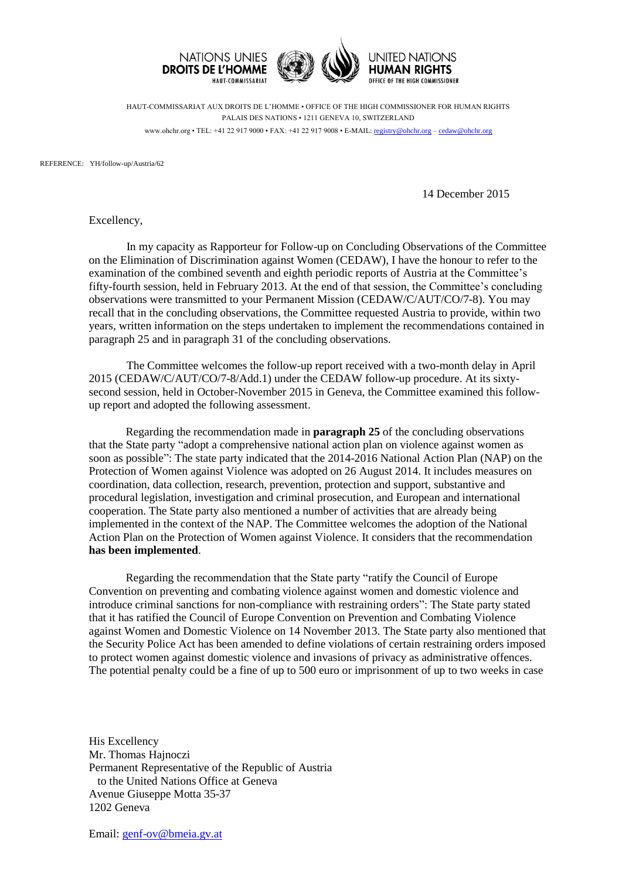

HAUT-COMMISSARIAT AUX DROITS DE L'HOMME • OFFICE OF THE HIGH COMMISSIONER FOR HUMAN RIGHTS PALAIS DES NATIONS • 1211 GENEVA 10, SWITZERLAND www.ohchr.org • TEL: +41 22 917 9000 • FAX: +41 22 917 9008 • E-MAIL: [registry@ohchr.org](mailto:registry@ohchr.org) – [cedaw@ohchr.org](mailto:cedaw@ohchr.org)

REFERENCE: YH/follow-up/Austria/62

14 December 2015

Excellency,

In my capacity as Rapporteur for Follow-up on Concluding Observations of the Committee on the Elimination of Discrimination against Women (CEDAW), I have the honour to refer to the examination of the combined seventh and eighth periodic reports of Austria at the Committee's fifty-fourth session, held in February 2013. At the end of that session, the Committee's concluding observations were transmitted to your Permanent Mission (CEDAW/C/AUT/CO/7-8). You may recall that in the concluding observations, the Committee requested Austria to provide, within two years, written information on the steps undertaken to implement the recommendations contained in paragraph 25 and in paragraph 31 of the concluding observations.

The Committee welcomes the follow-up report received with a two-month delay in April 2015 (CEDAW/C/AUT/CO/7-8/Add.1) under the CEDAW follow-up procedure. At its sixtysecond session, held in October-November 2015 in Geneva, the Committee examined this followup report and adopted the following assessment.

Regarding the recommendation made in **paragraph 25** of the concluding observations that the State party "adopt a comprehensive national action plan on violence against women as soon as possible": The state party indicated that the 2014-2016 National Action Plan (NAP) on the Protection of Women against Violence was adopted on 26 August 2014. It includes measures on coordination, data collection, research, prevention, protection and support, substantive and procedural legislation, investigation and criminal prosecution, and European and international cooperation. The State party also mentioned a number of activities that are already being implemented in the context of the NAP. The Committee welcomes the adoption of the National Action Plan on the Protection of Women against Violence. It considers that the recommendation **has been implemented**.

Regarding the recommendation that the State party "ratify the Council of Europe Convention on preventing and combating violence against women and domestic violence and introduce criminal sanctions for non-compliance with restraining orders": The State party stated that it has ratified the Council of Europe Convention on Prevention and Combating Violence against Women and Domestic Violence on 14 November 2013. The State party also mentioned that the Security Police Act has been amended to define violations of certain restraining orders imposed to protect women against domestic violence and invasions of privacy as administrative offences. The potential penalty could be a fine of up to 500 euro or imprisonment of up to two weeks in case

His Excellency Mr. Thomas Hajnoczi Permanent Representative of the Republic of Austria to the United Nations Office at Geneva Avenue Giuseppe Motta 35-37 1202 Geneva

Email: [genf-ov@bmeia.gv.at](mailto:genf-ov@bmeia.gv.at)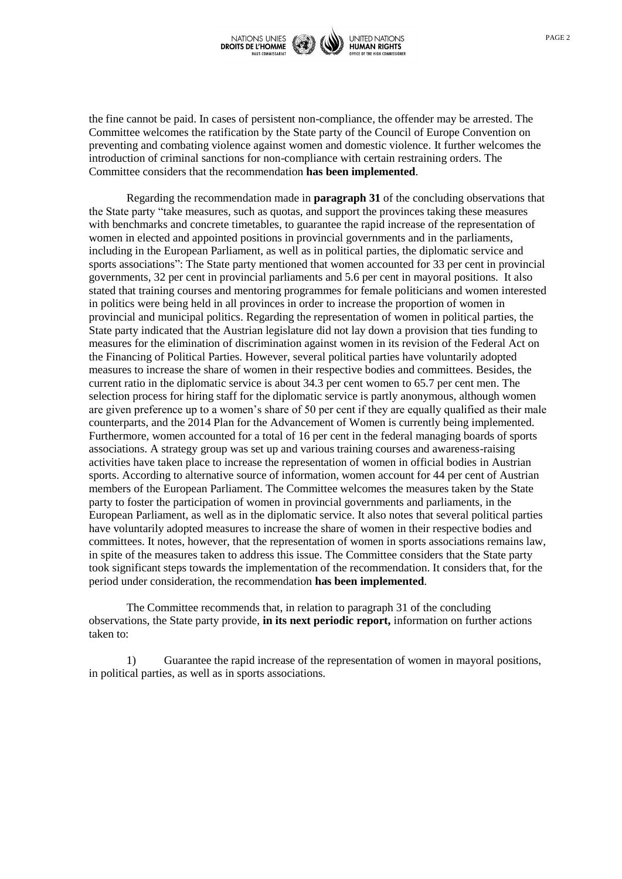

the fine cannot be paid. In cases of persistent non-compliance, the offender may be arrested. The Committee welcomes the ratification by the State party of the Council of Europe Convention on preventing and combating violence against women and domestic violence. It further welcomes the introduction of criminal sanctions for non-compliance with certain restraining orders. The Committee considers that the recommendation **has been implemented**.

Regarding the recommendation made in **paragraph 31** of the concluding observations that the State party "take measures, such as quotas, and support the provinces taking these measures with benchmarks and concrete timetables, to guarantee the rapid increase of the representation of women in elected and appointed positions in provincial governments and in the parliaments, including in the European Parliament, as well as in political parties, the diplomatic service and sports associations": The State party mentioned that women accounted for 33 per cent in provincial governments, 32 per cent in provincial parliaments and 5.6 per cent in mayoral positions. It also stated that training courses and mentoring programmes for female politicians and women interested in politics were being held in all provinces in order to increase the proportion of women in provincial and municipal politics. Regarding the representation of women in political parties, the State party indicated that the Austrian legislature did not lay down a provision that ties funding to measures for the elimination of discrimination against women in its revision of the Federal Act on the Financing of Political Parties. However, several political parties have voluntarily adopted measures to increase the share of women in their respective bodies and committees. Besides, the current ratio in the diplomatic service is about 34.3 per cent women to 65.7 per cent men. The selection process for hiring staff for the diplomatic service is partly anonymous, although women are given preference up to a women's share of 50 per cent if they are equally qualified as their male counterparts, and the 2014 Plan for the Advancement of Women is currently being implemented. Furthermore, women accounted for a total of 16 per cent in the federal managing boards of sports associations. A strategy group was set up and various training courses and awareness-raising activities have taken place to increase the representation of women in official bodies in Austrian sports. According to alternative source of information, women account for 44 per cent of Austrian members of the European Parliament. The Committee welcomes the measures taken by the State party to foster the participation of women in provincial governments and parliaments, in the European Parliament, as well as in the diplomatic service. It also notes that several political parties have voluntarily adopted measures to increase the share of women in their respective bodies and committees. It notes, however, that the representation of women in sports associations remains law, in spite of the measures taken to address this issue. The Committee considers that the State party took significant steps towards the implementation of the recommendation. It considers that, for the period under consideration, the recommendation **has been implemented**.

The Committee recommends that, in relation to paragraph 31 of the concluding observations, the State party provide, **in its next periodic report,** information on further actions taken to:

1) Guarantee the rapid increase of the representation of women in mayoral positions, in political parties, as well as in sports associations.